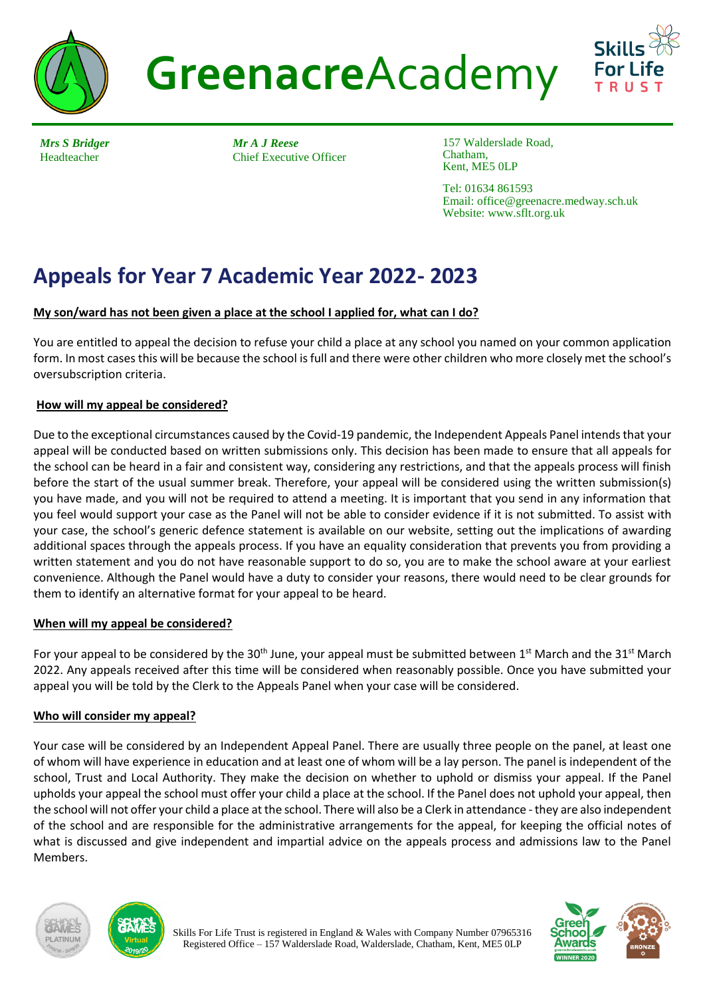

**Greenacre**Academy



*Mrs S Bridger* Headteacher

*Mr A J Reese* Chief Executive Officer

157 Walderslade Road, Chatham, Kent, ME5 0LP

Tel: 01634 861593 Email: office@greenacre.medway.sch.uk Website: www.sflt.org.uk

# **Appeals for Year 7 Academic Year 2022- 2023**

## **My son/ward has not been given a place at the school I applied for, what can I do?**

You are entitled to appeal the decision to refuse your child a place at any school you named on your common application form. In most cases this will be because the school is full and there were other children who more closely met the school's oversubscription criteria.

## **How will my appeal be considered?**

Due to the exceptional circumstances caused by the Covid-19 pandemic, the Independent Appeals Panel intends that your appeal will be conducted based on written submissions only. This decision has been made to ensure that all appeals for the school can be heard in a fair and consistent way, considering any restrictions, and that the appeals process will finish before the start of the usual summer break. Therefore, your appeal will be considered using the written submission(s) you have made, and you will not be required to attend a meeting. It is important that you send in any information that you feel would support your case as the Panel will not be able to consider evidence if it is not submitted. To assist with your case, the school's generic defence statement is available on our website, setting out the implications of awarding additional spaces through the appeals process. If you have an equality consideration that prevents you from providing a written statement and you do not have reasonable support to do so, you are to make the school aware at your earliest convenience. Although the Panel would have a duty to consider your reasons, there would need to be clear grounds for them to identify an alternative format for your appeal to be heard.

## **When will my appeal be considered?**

For your appeal to be considered by the 30<sup>th</sup> June, your appeal must be submitted between 1<sup>st</sup> March and the 31<sup>st</sup> March 2022. Any appeals received after this time will be considered when reasonably possible. Once you have submitted your appeal you will be told by the Clerk to the Appeals Panel when your case will be considered.

## **Who will consider my appeal?**

Your case will be considered by an Independent Appeal Panel. There are usually three people on the panel, at least one of whom will have experience in education and at least one of whom will be a lay person. The panel is independent of the school, Trust and Local Authority. They make the decision on whether to uphold or dismiss your appeal. If the Panel upholds your appeal the school must offer your child a place at the school. If the Panel does not uphold your appeal, then the school will not offer your child a place at the school. There will also be a Clerk in attendance -they are also independent of the school and are responsible for the administrative arrangements for the appeal, for keeping the official notes of what is discussed and give independent and impartial advice on the appeals process and admissions law to the Panel Members.





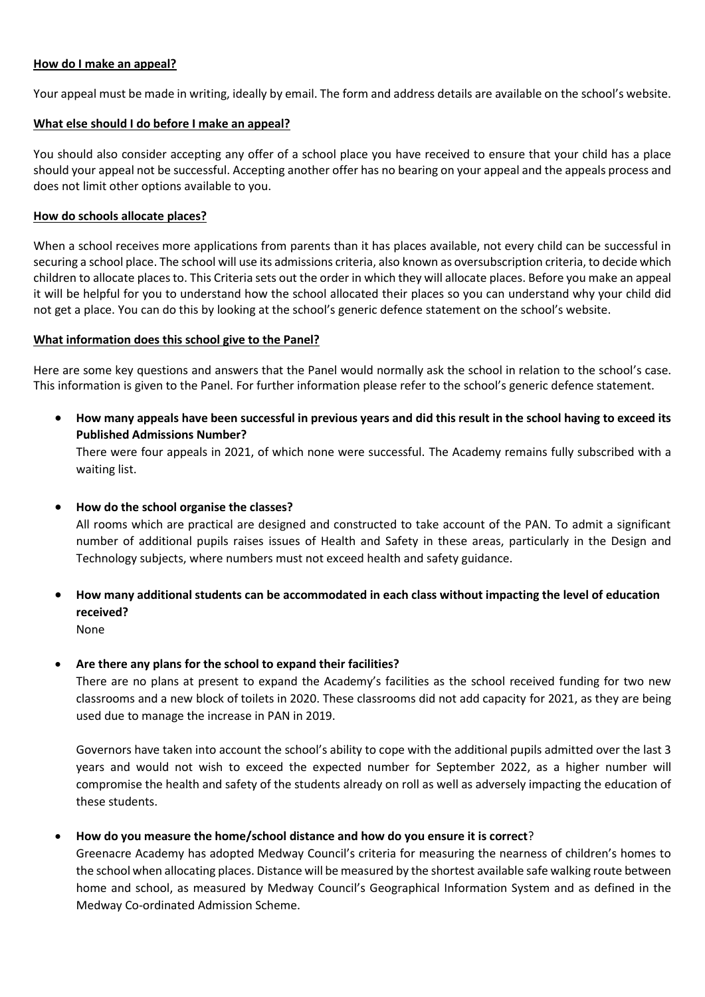#### **How do I make an appeal?**

Your appeal must be made in writing, ideally by email. The form and address details are available on the school's website.

#### **What else should I do before I make an appeal?**

You should also consider accepting any offer of a school place you have received to ensure that your child has a place should your appeal not be successful. Accepting another offer has no bearing on your appeal and the appeals process and does not limit other options available to you.

#### **How do schools allocate places?**

When a school receives more applications from parents than it has places available, not every child can be successful in securing a school place. The school will use its admissions criteria, also known as oversubscription criteria, to decide which children to allocate places to. This Criteria sets out the order in which they will allocate places. Before you make an appeal it will be helpful for you to understand how the school allocated their places so you can understand why your child did not get a place. You can do this by looking at the school's generic defence statement on the school's website.

#### **What information does this school give to the Panel?**

Here are some key questions and answers that the Panel would normally ask the school in relation to the school's case. This information is given to the Panel. For further information please refer to the school's generic defence statement.

 **How many appeals have been successful in previous years and did this result in the school having to exceed its Published Admissions Number?**

There were four appeals in 2021, of which none were successful. The Academy remains fully subscribed with a waiting list.

**How do the school organise the classes?**

All rooms which are practical are designed and constructed to take account of the PAN. To admit a significant number of additional pupils raises issues of Health and Safety in these areas, particularly in the Design and Technology subjects, where numbers must not exceed health and safety guidance.

- **How many additional students can be accommodated in each class without impacting the level of education received?** None
- **Are there any plans for the school to expand their facilities?**

There are no plans at present to expand the Academy's facilities as the school received funding for two new classrooms and a new block of toilets in 2020. These classrooms did not add capacity for 2021, as they are being used due to manage the increase in PAN in 2019.

Governors have taken into account the school's ability to cope with the additional pupils admitted over the last 3 years and would not wish to exceed the expected number for September 2022, as a higher number will compromise the health and safety of the students already on roll as well as adversely impacting the education of these students.

## **How do you measure the home/school distance and how do you ensure it is correct**?

Greenacre Academy has adopted Medway Council's criteria for measuring the nearness of children's homes to the school when allocating places. Distance will be measured by the shortest available safe walking route between home and school, as measured by Medway Council's Geographical Information System and as defined in the Medway Co-ordinated Admission Scheme.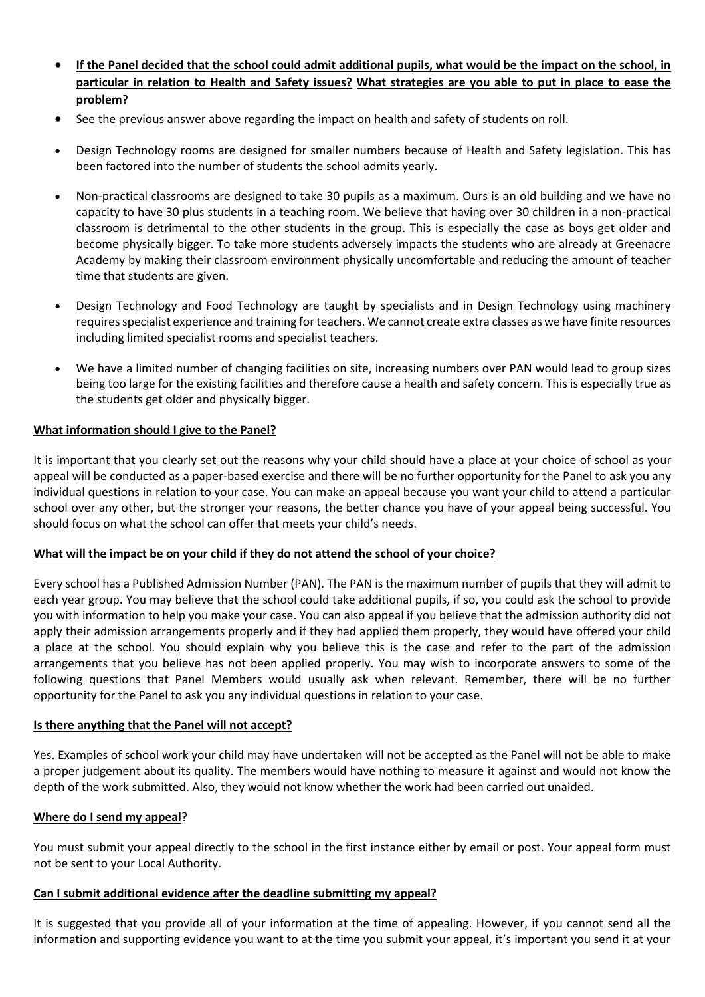- **If the Panel decided that the school could admit additional pupils, what would be the impact on the school, in particular in relation to Health and Safety issues? What strategies are you able to put in place to ease the problem**?
- See the previous answer above regarding the impact on health and safety of students on roll.
- Design Technology rooms are designed for smaller numbers because of Health and Safety legislation. This has been factored into the number of students the school admits yearly.
- Non-practical classrooms are designed to take 30 pupils as a maximum. Ours is an old building and we have no capacity to have 30 plus students in a teaching room. We believe that having over 30 children in a non-practical classroom is detrimental to the other students in the group. This is especially the case as boys get older and become physically bigger. To take more students adversely impacts the students who are already at Greenacre Academy by making their classroom environment physically uncomfortable and reducing the amount of teacher time that students are given.
- Design Technology and Food Technology are taught by specialists and in Design Technology using machinery requires specialist experience and training for teachers. We cannot create extra classes as we have finite resources including limited specialist rooms and specialist teachers.
- We have a limited number of changing facilities on site, increasing numbers over PAN would lead to group sizes being too large for the existing facilities and therefore cause a health and safety concern. This is especially true as the students get older and physically bigger.

#### **What information should I give to the Panel?**

It is important that you clearly set out the reasons why your child should have a place at your choice of school as your appeal will be conducted as a paper-based exercise and there will be no further opportunity for the Panel to ask you any individual questions in relation to your case. You can make an appeal because you want your child to attend a particular school over any other, but the stronger your reasons, the better chance you have of your appeal being successful. You should focus on what the school can offer that meets your child's needs.

#### **What will the impact be on your child if they do not attend the school of your choice?**

Every school has a Published Admission Number (PAN). The PAN is the maximum number of pupils that they will admit to each year group. You may believe that the school could take additional pupils, if so, you could ask the school to provide you with information to help you make your case. You can also appeal if you believe that the admission authority did not apply their admission arrangements properly and if they had applied them properly, they would have offered your child a place at the school. You should explain why you believe this is the case and refer to the part of the admission arrangements that you believe has not been applied properly. You may wish to incorporate answers to some of the following questions that Panel Members would usually ask when relevant. Remember, there will be no further opportunity for the Panel to ask you any individual questions in relation to your case.

## **Is there anything that the Panel will not accept?**

Yes. Examples of school work your child may have undertaken will not be accepted as the Panel will not be able to make a proper judgement about its quality. The members would have nothing to measure it against and would not know the depth of the work submitted. Also, they would not know whether the work had been carried out unaided.

#### **Where do I send my appeal**?

You must submit your appeal directly to the school in the first instance either by email or post. Your appeal form must not be sent to your Local Authority.

#### **Can I submit additional evidence after the deadline submitting my appeal?**

It is suggested that you provide all of your information at the time of appealing. However, if you cannot send all the information and supporting evidence you want to at the time you submit your appeal, it's important you send it at your